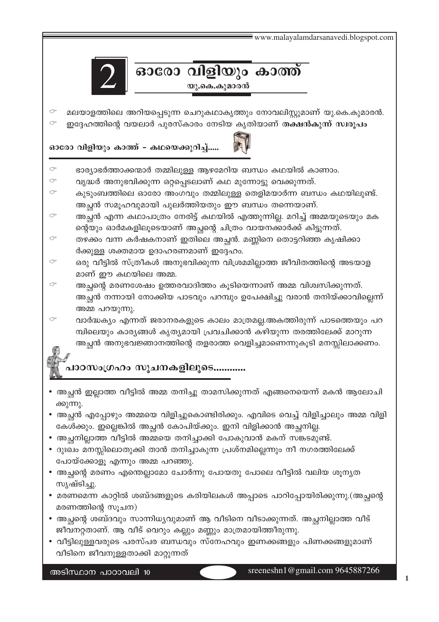$\equiv$  www.malayalamdarsanavedi.blogspot.com ഓരോ വിളിയും കാത്ത് യു.കെ.കുമാരൻ മലയാളത്തിലെ അറിയപ്പെടുന്ന ചെറുകഥാകൃത്തും നോവലിസ്റ്റുമാണ് യു.കെ.കുമാരൻ. ഇദ്ദേഹത്തിന്റെ വയലാർ പുരസ്കാരം നേടിയ കൃതിയാണ് തക്ഷൻകുന്ന് സ്വരൂപം ഓരോ വിളിയും കാത്ത് - കഥയെക്കുറിച്ച്..... ഭാര്യാഭർത്താക്കന്മാർ തമ്മിലുള്ള ആഴമേറിയ ബന്ധം കഥയിൽ കാണാം. വൃദ്ധർ അനുഭവിക്കുന്ന ഒറ്റപ്പെടലാണ് കഥ മുന്നോട്ടു വെക്കുന്നത്. കുടുംബത്തിലെ ഓരോ അംഗവും തമ്മിലുള്ള തെളിമയാർന്ന ബന്ധം കഥയിലുണ്ട്. അച്ഛൻ സമൂഹവുമായി പുലർത്തിയതും ഈ ബന്ധം തന്നെയാണ്. അച്ചൻ എന്ന കഥാപാത്രം നേരിട്ട് കഥയിൽ എത്തുന്നില്ല. മറിച്ച് അമ്മയുടെയും മക ന്റെയും ഓർമകളിലൂടെയാണ് അച്ഛന്റെ ചിത്രം വായനക്കാർക്ക് കിട്ടുന്നത്. തഴക്കം വന്ന കർഷകനാണ് ഇതിലെ അച്ഛൻ. മണ്ണിനെ തൊട്ടറിഞ്ഞ കൃഷിക്കാ ർക്കുള്ള ശക്തമായ ഉദാഹരണമാണ് ഇദ്ദേഹം. ഒരു വീട്ടിൽ സ്ത്രീകൾ അനുഭവിക്കുന്ന വിശ്രമമില്ലാത്ത ജീവിതത്തിന്റെ അടയാള മാണ് ഈ കഥയിലെ അമ്മ. അച്ഛന്റെ മരണശേഷം ഉത്തരവാദിത്തം കൂടിയെന്നാണ് അമ്മ വിശ്വസിക്കുന്നത്. അച്ഛൻ നന്നായി നോക്കിയ പാടവും പറമ്പും ഉപേക്ഷിച്ചു വരാൻ തനിയ്ക്കാവില്ലെന്ന് അമ്മ പറയുന്നു. വാർദ്ധക്യം എന്നത് ജരാനരകളുടെ കാലം മാത്രമല്ല.അകത്തിരുന്ന് പാടത്തെയും പറ മ്പിലെയും കാര്യങ്ങൾ കൃത്യമായി പ്രവചിക്കാൻ കഴിയുന്ന തരത്തിലേക്ക് മാറുന്ന അച്ഛൻ അനുഭവജ്ഞാനത്തിന്റെ തളരാത്ത വെളിച്ചമാണെന്നുകൂടി മനസ്സിലാക്കണം. പാഠസംഗ്രഹം സുചനകളിലൂടെ............ • അച്ചൻ ഇല്ലാത്ത വീട്ടിൽ അമ്മ തനിച്ചു താമസിക്കുന്നത് എങ്ങനെയെന്ന് മകൻ ആലോചി ക്കുന്നു.

- 
- അച്ഛൻ എപ്പോഴും അമ്മയെ വിളിച്ചുകൊണ്ടിരിക്കും. എവിടെ വെച്ച് വിളിച്ചാലും അമ്മ വിളി കേൾക്കും. ഇല്ലെങ്കിൽ അച്ഛൻ കോപിയ്ക്കും. ഇനി വിളിക്കാൻ അച്ഛനില്ല.
- അച്ചനില്ലാത്ത വീട്ടിൽ അമ്മയെ തനിച്ചാക്കി പോകുവാൻ മകന് സങ്കടമുണ്ട്.
- ദുഃഖം മനസ്സിലൊതുക്കി താൻ തനിച്ചാകുന്ന പ്രശ്നമില്ലെന്നും നീ നഗരത്തിലേക്ക് പോയ്ക്കോളൂ എന്നും അമ്മ പറഞ്ഞു.
- അച്ഛന്റെ മരണം എന്തെല്ലാമോ ചോർന്നു പോയതു പോലെ വീട്ടിൽ വലിയ ശൂന്യത സൃഷ്ടിച്ചു.
- മരണമെന്ന കാറ്റിൽ ശബ്ദങ്ങളുടെ കരിയിലകൾ അപ്പാടെ പാറിപ്പോയിരിക്കുന്നു.(അച്ഛന്റെ മരണത്തിന്റെ സുചന)
- അച്ഛന്റെ ശബ്ദവും സാന്നിധ്യവുമാണ് ആ വീടിനെ വീടാക്കുന്നത്. അച്ഛനില്ലാത്ത വീട് ജീവനറ്റതാണ്. ആ വീട് വെറും കല്ലും മണ്ണും മാത്രമായിത്തീരുന്നു.
- വീട്ടിലുള്ളവരുടെ പരസ്പര ബന്ധവും സ്നേഹവും ഇണക്കങ്ങളും പിണക്കങ്ങളുമാണ് വീടിനെ ജീവനുള്ളതാക്കി മാറ്റുന്നത്

അടിസ്ഥാന പാഠാവലി 10

 $\sigma$ 

 $\rightarrow$ 

 $\sigma$ 

 $\sigma$  $\sigma$ 

 $\sigma$ 

 $\sigma$ 

←

 $\rightarrow$ 

sreeneshn1@gmail.com 9645887266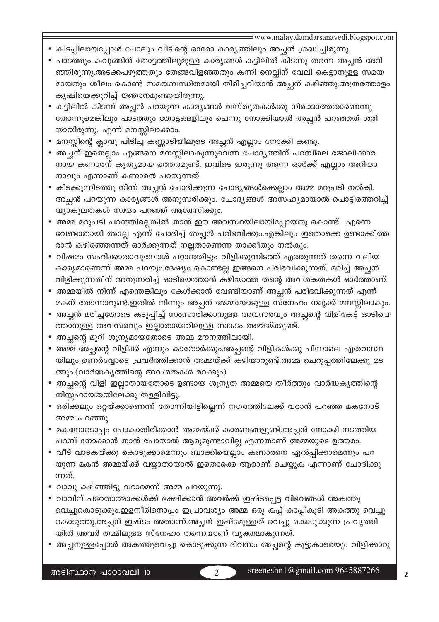- കിടപ്പിലായപ്പോൾ പോലും വീടിന്റെ ഓരോ കാര്യത്തിലും അച്ഛൻ ശ്രദ്ധിച്ചിരുന്നു.
- പാടത്തും കവുങ്ങിൻ തോട്ടത്തിലുമുള്ള കാര്യങ്ങൾ കട്ടിലിൽ കിടന്നു തന്നെ അച്ചൻ അറി ഞ്ഞിരുന്നു.അടക്കപഴുത്തതും തേങ്ങവിളഞ്ഞതും കന്നി നെല്ലിന് വേലി കെട്ടാനുള്ള സമയ മായതും ശീലം കൊണ്ട് സമയബന്ധിതമായി തിരിച്ചറിയാൻ അച്ഛന് കഴിഞ്ഞു.അത്രത്തോളം കൃഷിയെക്കുറിച്ച് ജ്ഞാനമുണ്ടായിരുന്നു.
- കട്ടിലിൽ കിടന്ന് അച്ഛൻ പറയുന്ന കാര്യങ്ങൾ വസ്തുതകൾക്കു നിരക്കാത്തതാണെന്നു തോന്നുമെങ്കിലും പാടത്തും തോട്ടങ്ങളിലും ചെന്നു നോക്കിയാൽ അച്ഛൻ പറഞ്ഞത് ശരി യായിരുന്നു. എന്ന് മനസ്സിലാക്കാം.
- മനസ്സിന്റെ ക്ലാവു പിടിച്ച കണ്ണാടിയിലൂടെ അച്ഛൻ എല്ലാം നോക്കി കണ്ടു.
- അച്ഛന് ഇതെല്ലാം എങ്ങനെ മനസ്സിലാകുന്നുവെന്ന ചോദ്യത്തിന് പറമ്പിലെ ജോലിക്കാര നായ കണാരന് കൃത്യമായ ഉത്തരമുണ്ട്. ഇവിടെ ഇരുന്നു തന്നെ ഓർക്ക് എല്ലാം അറിയാ നാവും എന്നാണ് കണാരൻ പറയുന്നത്.
- കിടക്കുന്നിടത്തു നിന്ന് അച്ഛൻ ചോദിക്കുന്ന ചോദ്യങ്ങൾക്കെല്ലാം അമ്മ മറുപടി നൽകി. അച്ഛൻ പറയുന്ന കാര്യങ്ങൾ അനുസരിക്കും. ചോദ്യങ്ങൾ അസഹ്യമായാൽ പൊട്ടിത്തെറിച്ച് വ്യാകുലതകൾ സ്വയം പറഞ്ഞ് ആശ്വസിക്കും.
- അമ്മ മറുപടി പറഞ്ഞില്ലെങ്കിൽ താൻ ഈ അവസ്ഥയിലായിപ്പോയതു കൊണ്ട് എന്നെ വേണ്ടാതായി അല്ലേ എന്ന് ചോദിച്ച് അച്ഛൻ പരിഭവിക്കും.എങ്കിലും ഇതൊക്കെ ഉണ്ടാക്കിത്ത രാൻ കഴിഞ്ഞെന്നത് ഓർക്കുന്നത് നല്ലതാണെന്ന താക്കീതും നൽകും.
- വിഷമം സഹിക്കാതാവുമ്പോൾ പറ്റാഞ്ഞിട്ടും വിളിക്കുന്നിടത്ത് എത്തുന്നത് തന്നെ വലിയ കാര്യമാണെന്ന് അമ്മ പറയും.ദേഷ്യം കൊണ്ടല്ല ഇങ്ങനെ പരിഭവിക്കുന്നത്. മറിച്ച് അച്ഛൻ വിളിക്കുന്നതിന് അനുസരിച്ച് ഓടിയെത്താൻ കഴിയാത്ത തന്റെ അവശകതകൾ ഓർത്താണ്.
- അമ്മയിൽ നിന്ന് എന്തെങ്കിലും കേൾക്കാൻ വേണ്ടിയാണ് അച്ഛൻ പരിഭവിക്കുന്നത് എന്ന് മകന് തോന്നാറുണ്ട്.ഇതിൽ നിന്നും അച്ഛന് അമ്മയോടുള്ള സ്നേഹം നമുക്ക് മനസ്സിലാകും.
- അച്ഛൻ മരിച്ചതോടെ കടുപ്പിച്ച് സംസാരിക്കാനുള്ള അവസരവും അച്ഛന്റെ വിളികേട്ട് ഓടിയെ ത്താനുള്ള അവസരവും ഇല്ലാതായതിലുള്ള സങ്കടം അമ്മയ്ക്കുണ്ട്.
- അച്ഛന്റെ മുറി ശൂന്യമായതോടെ അമ്മ മൗനത്തിലായി.
- അമ്മ അച്ഛന്റെ വിളിക്ക് എന്നും കാതോർക്കും.അച്ഛന്റെ വിളികൾക്കു പിന്നാലെ ഏതവസ്ഥ യിലും ഉണർവ്വോടെ പ്രവർത്തിക്കാൻ അമ്മയ്ക്ക് കഴിയാറുണ്ട്.അമ്മ ചെറുപ്പത്തിലേക്കു മട ങ്ങും.(വാർദ്ധകൃത്തിന്റെ അവശതകൾ മറക്കും)
- അച്ഛന്റെ വിളി ഇല്ലാതായതോടെ ഉണ്ടായ ശൂന്യത അമ്മയെ തീർത്തും വാർദ്ധകൃത്തിന്റെ നിസ്സഹായതയിലേക്കു തള്ളിവിട്ടു.
- ഒരിക്കലും ഒറ്റയ്ക്കാണെന്ന് തോന്നിയിട്ടില്ലെന്ന് നഗരത്തിലേക്ക് വരാൻ പറഞ്ഞ മകനോട് അമ്മ പറഞ്ഞു.
- മകനോടൊപ്പം പോകാതിരിക്കാൻ അമ്മയ്ക്ക് കാരണങ്ങളുണ്ട്.അച്ഛൻ നോക്കി നടത്തിയ പറമ്പ് നോക്കാൻ താൻ പോയാൽ ആരുമുണ്ടാവില്ല എന്നതാണ് അമ്മയുടെ ഉത്തരം.
- വീട് വാടകയ്ക്കു കൊടുക്കാമെന്നും ബാക്കിയെല്ലാം കണാരനെ ഏൽപ്പിക്കാമെന്നും പറ യുന്ന മകൻ അമ്മയ്ക്ക് വയ്യാതായാൽ ഇതൊക്കെ ആരാണ് ചെയ്യുക എന്നാണ് ചോദിക്കു ന്നത്.
- വാവു കഴിഞ്ഞിട്ടു വരാമെന്ന് അമ്മ പറയുന്നു.
- വാവിന് പരേതാത്മാക്കൾക്ക് ഭക്ഷിക്കാൻ അവർക്ക് ഇഷ്ടപ്പെട്ട വിഭവങ്ങൾ അകത്തു വെച്ചുകൊടുക്കും.ഇളനീരിനൊപ്പം ഇപ്രാവശ്യം അമ്മ ഒരു കപ്പ് കാപ്പികൂടി അകത്തു വെച്ചു കൊടുത്തു.അച്ഛന് ഇഷ്ടം അതാണ്.അച്ഛന് ഇഷ്ടമുള്ളത് വെച്ചു കൊടുക്കുന്ന പ്രവൃത്തി യിൽ അവർ തമ്മിലുള്ള സ്നേഹം തന്നെയാണ് വ്യക്തമാകുന്നത്.
- അച്ഛനുള്ളപ്പോൾ അകത്തുവെച്ചു കൊടുക്കുന്ന ദിവസം അച്ഛന്റെ കൂട്ടുകാരെയും വിളിക്കാറു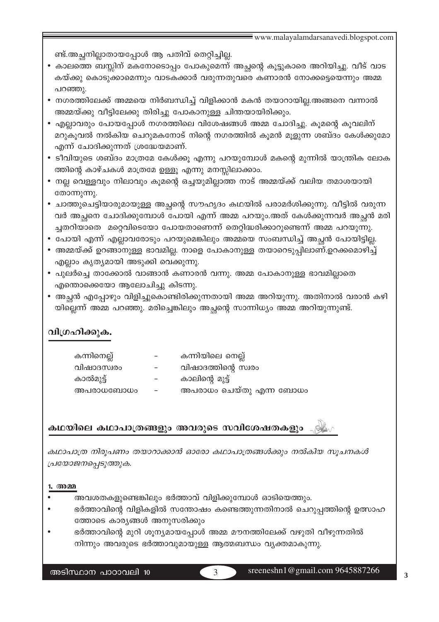ണ്ട്.അച്ഛനില്ലാതായപ്പോൾ ആ പതിവ് തെറ്റിച്ചില്ല.

- കാലത്തെ ബസ്സിന് മകനോടൊപ്പം പോകുമെന്ന് അച്ഛന്റെ കൂട്ടുകാരെ അറിയിച്ചു. വീട് വാട കയ്ക്കു കൊടുക്കാമെന്നും വാടകക്കാർ വരുന്നതുവരെ കണാരൻ നോക്കട്ടെയെന്നും അമ്മ പറഞ്ഞു.
- നഗരത്തിലേക്ക് അമ്മയെ നിർബന്ധിച്ച് വിളിക്കാൻ മകൻ തയാറായില്ല.അങ്ങനെ വന്നാൽ അമ്മയ്ക്കു വീട്ടിലേക്കു തിരിച്ചു പോകാനുള്ള ചിന്തയായിരിക്കും.
- എല്ലാവരും പോയപ്പോൾ നഗരത്തിലെ വിശേഷങ്ങൾ അമ്മ ചോദിച്ചു. കൂമന്റെ കൂവലിന് മറുകൂവൽ നൽകിയ ചെറുമകനോട് നിന്റെ നഗരത്തിൽ കൂമൻ മൂളുന്ന ശബ്ദം കേൾക്കുമോ എന്ന് ചോദിക്കുന്നത് ശ്രദ്ധേയമാണ്.
- ടീവിയുടെ ശബ്ദം മാത്രമേ കേൾക്കു എന്നു പറയുമ്പോൾ മകന്റെ മുന്നിൽ യാന്ത്രിക ലോക ത്തിന്റെ കാഴ്ചകൾ മാത്രമേ ഉള്ളൂ എന്നു മനസ്സിലാക്കാം.
- നല്ല വെള്ളവും നിലാവും കൂമന്റെ ഒച്ചയുമില്ലാത്ത നാട് അമ്മയ്ക്ക് വലിയ തമാശയായി തോന്നുന്നു.
- ചാത്തുചെട്ടിയാരുമായുള്ള അച്ചന്റെ സൗഹൃദം കഥയിൽ പരാമർശിക്കുന്നു. വീട്ടിൽ വരുന്ന വർ അച്ചനെ ചോദിക്കുമ്പോൾ പോയി എന്ന് അമ്മ പറയും.അത് കേൾക്കുന്നവർ അച്ചൻ മരി ച്ചതറിയാതെ മറ്റെവിടെയോ പോയതാണെന്ന് തെറ്റിദ്ധരിക്കാറുണ്ടെന്ന് അമ്മ പറയുന്നു.
- പോയി എന്ന് എല്ലാവരോടും പറയുമെങ്കിലും അമ്മയെ സംബന്ധിച്ച് അച്ഛൻ പോയിട്ടില്ല.
- അമ്മയ്ക്ക് ഉറങ്ങാനുള്ള ഭാവമില്ല. നാളെ പോകാനുള്ള തയാറെടുപ്പിലാണ്.ഉറക്കമൊഴിച്ച് എല്ലാം കൃത്യമായി അടുക്കി വെക്കുന്നു.
- പുലർച്ചെ താക്കോൽ വാങ്ങാൻ കണാരൻ വന്നു. അമ്മ പോകാനുള്ള ഭാവമില്ലാതെ എന്തൊക്കെയോ ആലോചിച്ചു കിടന്നു.
- അച്ഛൻ എപ്പോഴും വിളിച്ചുകൊണ്ടിരിക്കുന്നതായി അമ്മ അറിയുന്നു. അതിനാൽ വരാൻ കഴി യില്ലെന്ന് അമ്മ പറഞ്ഞു. മരിച്ചെങ്കിലും അച്ഛന്റെ സാന്നിധ്യം അമ്മ അറിയുന്നുണ്ട്.

## വിഗ്രഹിക്കുക.

| കന്നിനെല്ല് |   | കന്നിയിലെ നെല്ല്        |
|-------------|---|-------------------------|
| വിഷാദസ്വരം  |   | വിഷാദത്തിന്റെ സ്വരം     |
| കാൽമുട്ട്   | - | കാലിന്റെ മുട്ട്         |
| അപരാധബോധം   |   | അപരാധം ചെയ്തു എന്ന ബോധം |

## കഥയിലെ കഥാപാത്രങ്ങളും അവരുടെ സവിശേഷതകളും

കഥാപാത്ര നിരൂപണം തയാറാക്കാൻ ഓരോ കഥാപാത്രങ്ങൾക്കും നൽകിയ സൂചനകൾ പ്രയോജനപ്പെടുത്തുക.

#### 1. അമ്മ

- അവശതകളുണ്ടെങ്കിലും ഭർത്താവ് വിളിക്കുമ്പോൾ ഓടിയെത്തും.
- ഭർത്താവിന്റെ വിളികളിൽ സന്തോഷം കണ്ടെത്തുന്നതിനാൽ ചെറുപ്പത്തിന്റെ ഉത്സാഹ ത്തോടെ കാര്യങ്ങൾ അനുസരിക്കും
- ഭർത്താവിന്റെ മുറി ശൂന്യമായപ്പോൾ അമ്മ മൗനത്തിലേക്ക് വഴുതി വീഴുന്നതിൽ നിന്നും അവരുടെ ഭർത്താവുമായുള്ള ആത്മബന്ധം വ്യക്തമാകുന്നു.

അടിസ്ഥാന പാഠാവലി 10

 $\mathcal{R}$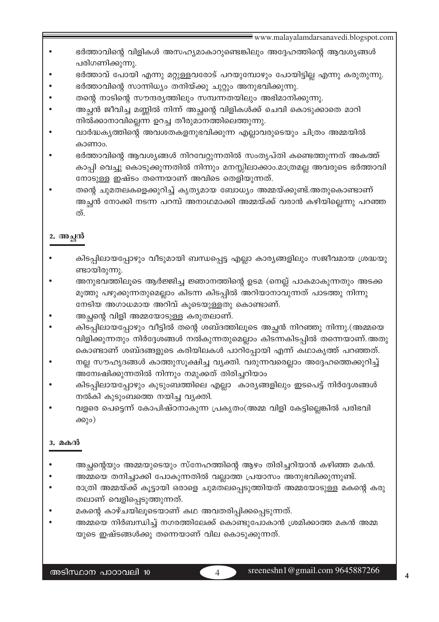- ഭർത്താവിന്റെ വിളികൾ അസഹ്യമാകാറുണ്ടെങ്കിലും അദ്ദേഹത്തിന്റെ ആവശ്യങ്ങൾ പരിഗണിക്കുന്നു.
- ഭർത്താവ് പോയി എന്നു മറ്റുള്ളവരോട് പറയുമ്പോഴും പോയിട്ടില്ല എന്നു കരുതുന്നു.
- ഭർത്താവിന്റെ സാന്നിധ്യം തനിയ്ക്കു ചുറ്റും അനുഭവിക്കുന്നു.
- തന്റെ നാടിന്റെ സൗന്ദര്യത്തിലും സമ്പന്നതയിലും അഭിമാനിക്കുന്നു.
- അച്ഛൻ ജീവിച്ച മണ്ണിൽ നിന്ന് അച്ഛന്റെ വിളികൾക്ക് ചെവി കൊടുക്കാതെ മാറി നിൽക്കാനാവില്ലെന്ന ഉറച്ച തീരുമാനത്തിലെത്തുന്നു.
- വാർദ്ധകൃത്തിന്റെ അവശതകളനുഭവിക്കുന്ന എല്ലാവരുടെയും ചിത്രം അമ്മയിൽ കാണാം.
- ഭർത്താവിന്റെ ആവശ്യങ്ങൾ നിറവേറ്റുന്നതിൽ സംതൃപ്തി കണ്ടെത്തുന്നത് അകത്ത് കാപ്പി വെച്ചു കൊടുക്കുന്നതിൽ നിന്നും മനസ്സിലാക്കാം.മാത്രമല്ല അവരുടെ ഭർത്താവി നോടുള്ള ഇഷ്ടം തന്നെയാണ് അവിടെ തെളിയുന്നത്.
- തന്റെ ചുമതലകളെക്കുറിച്ച് കൃത്യമായ ബോധ്യം അമ്മയ്ക്കുണ്ട്.അതുകൊണ്ടാണ് അച്ഛൻ നോക്കി നടന്ന പറമ്പ് അനാഥമാക്കി അമ്മയ്ക്ക് വരാൻ കഴിയില്ലെന്നു പറഞ്ഞ ത്.

## 2. അച്ഛൻ

- കിടപ്പിലായപ്പോഴും വീടുമായി ബന്ധപ്പെട്ട എല്ലാ കാര്യങ്ങളിലും സജീവമായ ശ്രദ്ധയു ണ്ടായിരുന്നു.
- അനുഭവത്തിലൂടെ ആർജ്ജിച്ച ജ്ഞാനത്തിന്റെ ഉടമ (നെല്ല് പാകമാകുന്നതും അടക്ക മൂത്തു പഴുക്കുന്നതുമെല്ലാം കിടന്ന കിടപ്പിൽ അറിയാനാവുന്നത് പാടത്തു നിന്നു നേടിയ അഗാധമായ അറിവ് കൂടെയുള്ളതു കൊണ്ടാണ്.
- അച്ഛന്റെ വിളി അമ്മയോടുള്ള കരുതലാണ്.
- കിടപ്പിലായപ്പോഴും വീട്ടിൽ തന്റെ ശബ്ദത്തിലൂടെ അച്ഛൻ നിറഞ്ഞു നിന്നു.(അമ്മയെ വിളിക്കുന്നതും നിർദ്ദേശങ്ങൾ നൽകുന്നതുമെല്ലാം കിടന്നകിടപ്പിൽ തന്നെയാണ്.അതു കൊണ്ടാണ് ശബ്ദങ്ങളുടെ കരിയിലകൾ പാറിപ്പോയി എന്ന് കഥാകൃത്ത് പറഞ്ഞത്.
- നല്ല സൗഹൃദങ്ങൾ കാത്തുസൂക്ഷിച്ച വ്യക്തി. വരുന്നവരെല്ലാം അദ്ദേഹത്തെക്കുറിച്ച് അമ്പേഷിക്കുന്നതിൽ നിന്നും നമുക്കത് തിരിച്ചറിയാം
- കിടപ്പിലായപ്പോഴും കുടുംബത്തിലെ എല്ലാ കാര്യങ്ങളിലും ഇടപെട്ട് നിർദ്ദേശങ്ങൾ നൽകി കുടുംബത്തെ നയിച്ച വ്യക്തി.
- വളരെ പെട്ടെന്ന് കോപിഷ്ഠനാകുന്ന പ്രകൃതം(അമ്മ വിളി കേട്ടില്ലെങ്കിൽ പരിഭവി ക്കും)

## **3. മകൻ**

- അച്ഛന്റെയും അമ്മയുടെയും സ്നേഹത്തിന്റെ ആഴം തിരിച്ചറിയാൻ കഴിഞ്ഞ മകൻ.
- അമ്മയെ തനിച്ചാക്കി പോകുന്നതിൽ വല്ലാത്ത പ്രയാസം അനുഭവിക്കുന്നുണ്ട്.
- രാത്രി അമ്മയ്ക്ക് കൂട്ടായി ഒരാളെ ചുമതലപ്പെടുത്തിയത് അമ്മയോടുള്ള മകന്റെ കരു തലാണ് വെളിപ്പെടുത്തുന്നത്.
- മകന്റെ കാഴ്ചയിലൂടെയാണ് കഥ അവതരിപ്പിക്കപ്പെടുന്നത്.
- അമ്മയെ നിർബന്ധിച്ച് നഗരത്തിലേക്ക് കൊണ്ടുപോകാൻ ശ്രമിക്കാത്ത മകൻ അമ്മ യുടെ ഇഷ്ടങ്ങൾക്കു തന്നെയാണ് വില കൊടുക്കുന്നത്.

 $\overline{\mathcal{A}}$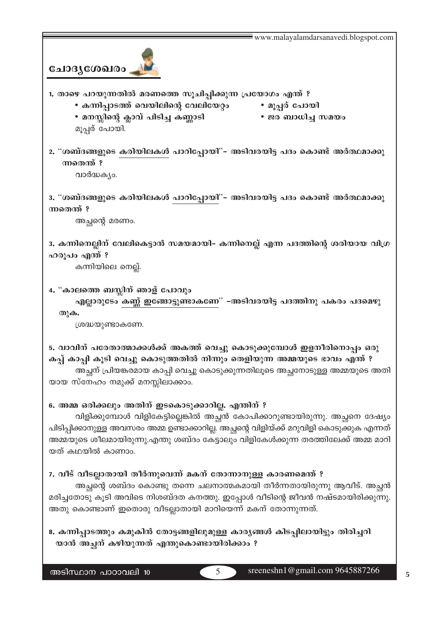

- 1. താഴെ പറയുന്നതിൽ മരണത്തെ സൂചിപ്പിക്കുന്ന പ്രയോഗം എന്ത് ?
	- കന്നിപ്പാടത്ത് വെയിലിന്റെ വേലിയേറ്റം
	- മനസ്സിന്റെ ക്ലാവ് പിടിച്ച കണ്ണാടി മൂപ്പര് പോയി.
- മൂപ്പര് പോയി • ജര ബാധിച്ച സമയം
- 
- 2. "ശബ്ദങ്ങളുടെ കരിയിലകൾ പാറിപ്പോയി"- അടിവരയിട്ട പദം കൊണ്ട് അർത്ഥമാക്കു ന്നതെന്ത് ?

വാർദ്ധക്യം.

3. "ശബ്ദങ്ങളുടെ കരിയിലകൾ പാറിപ്പോയി"- അടിവരയിട്ട പദം കൊണ്ട് അർത്ഥമാക്കു ന്നതെന്ത്?

അച്ഛന്റെ മരണം.

3. കന്നിനെല്ലിന് വേലികെട്ടാൻ സമയമായി– കന്നിനെല്ല് എന്ന പദത്തിന്റെ ശരിയായ വിഗ്ര ഹരൂപം എന്ത് ?

കന്നിയിലെ നെല്ല്.

4. "കാലത്തെ ബസ്സിന് ഞാള് പോവും

എല്ലാരുടേം കണ്ണ് ഇങ്ങോട്ടുണ്ടാകണേ" –അടിവരയിട്ട പദത്തിനു പകരം പദമെഴു  $\omega$ ) $\omega$ .

ശ്രദ്ധയുണ്ടാകണേ.

5. വാവിന് പരേതാത്മാക്കൾക്ക് അകത്ത് വെച്ചു കൊടുക്കുമ്പോൾ ഇളനീരിനൊപ്പം ഒരു കപ്പ് കാപ്പി കൂടി വെച്ചു കൊടുത്തതിൽ നിന്നും തെളിയുന്ന അമ്മയുടെ ഭാവം എന്ത് ? അച്ഛന് പ്രിയങ്കരമായ കാപ്പി വെച്ചു കൊടുക്കുന്നതിലൂടെ അച്ഛനോടുള്ള അമ്മയുടെ അതി യായ സ്നേഹം നമുക്ക് മനസ്സിലാക്കാം.

## 6. അമ്മ ഒരിക്കലും അതിന് ഇടകൊടുക്കാറില്ല. എന്തിന് ?

വിളിക്കുമ്പോൾ വിളികേട്ടില്ലെങ്കിൽ അച്ഛൻ കോപിക്കാറുണ്ടായിരുന്നു. അച്ഛനെ ദേഷ്യം പിടിപ്പിക്കാനുള്ള അവസരം അമ്മ ഉണ്ടാക്കാറില്ല. അച്ഛന്റെ വിളിയ്ക്ക് മറുവിളി കൊടുക്കുക എന്നത് അമ്മയുടെ ശീലമായിരുന്നു.എന്തു ശബ്ദം കേട്ടാലും വിളികേൾക്കുന്ന തരത്തിലേക്ക് അമ്മ മാറി യത് കഥയിൽ കാണാം.

## 7. വീട് വീടല്ലാതായി തീർന്നുവെന്ന് മകന് തോന്നാനുള്ള കാരണമെന്ത് ?

അച്ഛന്റെ ശബ്ദം കൊണ്ടു തന്നെ ചലനാത്മകമായി തീർന്നതായിരുന്നു ആവീട്. അച്ഛൻ മരിച്ചതോടു കൂടി അവിടെ നിശബ്ദത കനത്തു. ഇപ്പോൾ വീടിന്റെ ജീവൻ നഷ്ടമായിരിക്കുന്നു. അതു കൊണ്ടാണ് ഇതൊരു വീടല്ലാതായി മാറിയെന്ന് മകന് തോന്നുന്നത്.

8. കന്നിപ്പാടത്തും കമുകിൻ തോട്ടങ്ങളിലുമുള്ള കാര്യങ്ങൾ കിടപ്പിലായിട്ടും തിരിച്ചറി യാൻ അച്ഛന് കഴിയുന്നത് എന്തുകൊണ്ടായിരിക്കാം ?

 $\overline{5}$ 

sreeneshn1@gmail.com 9645887266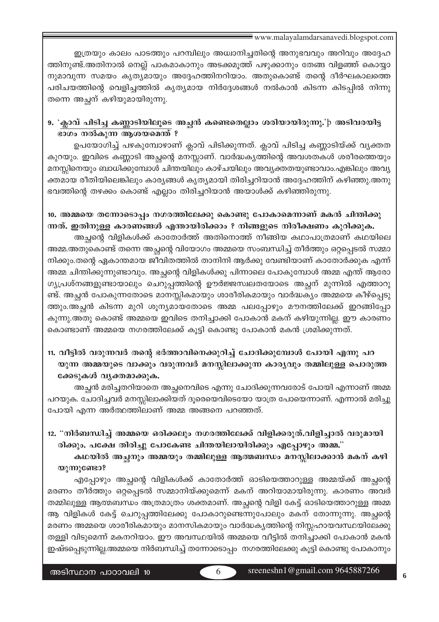ഇത്രയും കാലം പാടത്തും പറമ്പിലും അധ്വാനിച്ചതിന്റെ അനുഭവവും അറിവും അദ്ദേഹ ത്തിനുണ്ട്.അതിനാൽ നെല്ല് പാകമാകാനും അടക്കമുത്ത് പഴുക്കാനും തേങ്ങ വിളഞ്ഞ് കൊയ്യാ നുമാവുന്ന സമയം കൃത്യമായും അദ്ദേഹത്തിനറിയാം. അതുകൊണ്ട് തന്റെ ദീർഘകാലത്തെ പരിചയത്തിന്റെ വെളിച്ചത്തിൽ കൃത്യമായ നിർദ്ദേശങ്ങൾ നൽകാൻ കിടന്ന കിടപ്പിൽ നിന്നു തന്നെ അച്ഛന് കഴിയുമായിരുന്നു.

## 9. 'ക്ലാവ് പിടിച്ച കണ്ണാടിയിലൂടെ അച്ഛൻ കണ്ടെതെല്ലാം ശരിയായിരുന്നു.'þ അടിവരയിട്ട ഭാഗം നൽകുന്ന ആശയമെന്ത് ?

ഉപയോഗിച്ച് പഴകുമ്പോഴാണ് ക്ലാവ് പിടിക്കുന്നത്. ക്ലാവ് പിടിച്ച കണ്ണാടിയ്ക്ക് വ്യക്തത കുറയും. ഇവിടെ കണ്ണാടി അച്ഛന്റെ മനസ്സാണ്. വാർദ്ധകൃത്തിന്റെ അവശതകൾ ശരീരത്തെയും മനസ്സിനെയും ബാധിക്കുമ്പോൾ ചിന്തയിലും കാഴ്ചയിലും അവ്യക്തതയുണ്ടാവാം.എങ്കിലും അവ്യ ക്തമായ രീതിയിലെങ്കിലും കാര്യങ്ങൾ കൃത്യമായി തിരിച്ചറിയാൻ അദ്ദേഹത്തിന് കഴിഞ്ഞു.അനു ഭവത്തിന്റെ തഴക്കം കൊണ്ട് എല്ലാം തിരിച്ചറിയാൻ അയാൾക്ക് കഴിഞ്ഞിരുന്നു.

# 10. അമ്മയെ തന്നോടൊപ്പം നഗരത്തിലേക്കു കൊണ്ടു പോകാമെന്നാണ് മകൻ ചിന്തിക്കു ന്നത്. ഇതിനുള്ള കാരണങ്ങൾ എന്തായിരിക്കാം ? നിങ്ങളുടെ നിരീക്ഷണം കുറിക്കുക.

അച്ഛന്റെ വിളികൾക്ക് കാതോർത്ത് അതിനൊത്ത് നീങ്ങിയ കഥാപാത്രമാണ് കഥയിലെ അമ്മ.അതുകൊണ്ട് തന്നെ അച്ഛന്റെ വിയോഗം അമ്മയെ സംബന്ധിച്ച് തീർത്തും ഒറ്റപ്പെടൽ സമ്മാ നിക്കും.തന്റെ ഏകാന്തമായ ജീവിതത്തിൽ താനിനി ആർക്കു വേണ്ടിയാണ് കാതോർക്കുക എന്ന് അമ്മ ചിന്തിക്കുന്നുണ്ടാവും. അച്ഛന്റെ വിളികൾക്കു പിന്നാലെ പോകുമ്പോൾ അമ്മ എന്ത് ആരോ ഗ്യപ്രശ്നങ്ങളുണ്ടായാലും ചെറുപ്പത്തിന്റെ ഊർജ്ജസ്വലതയോടെ അച്ഛന് മുന്നിൽ എത്താറു ണ്ട്. അച്ഛൻ പോകുന്നതോടെ മാനസ്സികമായും ശാരീരികമായും വാർദ്ധക്യം അമ്മയെ കീഴ്പ്പെടു ത്തും.അച്ഛൻ കിടന്ന മുറി ശൂന്യമായതോടെ അമ്മ പലപ്പോഴും മൗനത്തിലേക്ക് ഇറങ്ങിപ്പോ കുന്നു.അതു കൊണ്ട് അമ്മയെ ഇവിടെ തനിച്ചാക്കി പോകാൻ മകന് കഴിയുന്നില്ല. ഈ കാരണം കൊണ്ടാണ് അമ്മയെ നഗരത്തിലേക്ക് കൂട്ടി കൊണ്ടു പോകാൻ മകൻ ശ്രമിക്കുന്നത്.

## 11. വീട്ടിൽ വരുന്നവർ തന്റെ ഭർത്താവിനെക്കുറിച്ച് ചോദിക്കുമ്പോൾ പോയി എന്നു പറ യുന്ന അമ്മയുടെ വാക്കും വരുന്നവർ മനസ്സിലാക്കുന്ന കാര്യവും തമ്മിലുള്ള പൊരുത്ത ക്കേടുകൾ വൃക്തമാക്കുക.

അച്ഛൻ മരിച്ചതറിയാതെ അച്ഛനെവിടെ എന്നു ചോദിക്കുന്നവരോട് പോയി എന്നാണ് അമ്മ പറയുക. ചോദിച്ചവർ മനസ്സിലാക്കിയത് ദൂരെയെവിടെയോ യാത്ര പോയെന്നാണ്. എന്നാൽ മരിച്ചു പോയി എന്ന അർത്ഥത്തിലാണ് അമ്മ അങ്ങനെ പറഞ്ഞത്.

## 12. "നിർബന്ധിച്ച് അമ്മയെ ഒരിക്കലും നഗരത്തിലേക്ക് വിളിക്കരുത്.വിളിച്ചാൽ വരുമായി രിക്കും. പക്ഷേ തിരിച്ചു പോകേണ്ട ചിന്തയിലായിരിക്കും എപ്പോഴും അമ്മ."

കഥയിൽ അച്ഛനും അമ്മയും തമ്മിലുള്ള ആത്മബന്ധം മനസ്സിലാക്കാൻ മകന് കഴി യുന്നുണ്ടോ?

എപ്പോഴും അച്ചന്റെ വിളികൾക്ക് കാതോർത്ത് ഓടിയെത്താറുള്ള അമ്മയ്ക്ക് അച്ചന്റെ മരണം തീർത്തും ഒറ്റപ്പെടൽ സമ്മാനിയ്ക്കുമെന്ന് മകന് അറിയാമായിരുന്നു. കാരണം അവർ തമ്മിലുള്ള ആത്മബന്ധം അത്രമാത്രം ശക്തമാണ്. അച്ഛന്റെ വിളി കേട്ട് ഓടിയെത്താറുള്ള അമ്മ ആ വിളികൾ കേട്ട് ചെറുപ്പത്തിലേക്കു പോകാറുണ്ടെന്നുപോലും മകന് തോന്നുന്നു. അച്ഛന്റെ മരണം അമ്മയെ ശാരീരികമായും മാനസികമായും വാർദ്ധകൃത്തിന്റെ നിസ്സഹായവസ്ഥയിലേക്കു തള്ളി വിടുമെന്ന് മകനറിയാം. ഈ അവസ്ഥയിൽ അമ്മയെ വീട്ടിൽ തനിച്ചാക്കി പോകാൻ മകൻ ഇഷ്ടപ്പെടുന്നില്ല.അമ്മയെ നിർബന്ധിച്ച് തന്നോടൊപ്പം നഗരത്തിലേക്കു കൂട്ടി കൊണ്ടു പോകാനും

6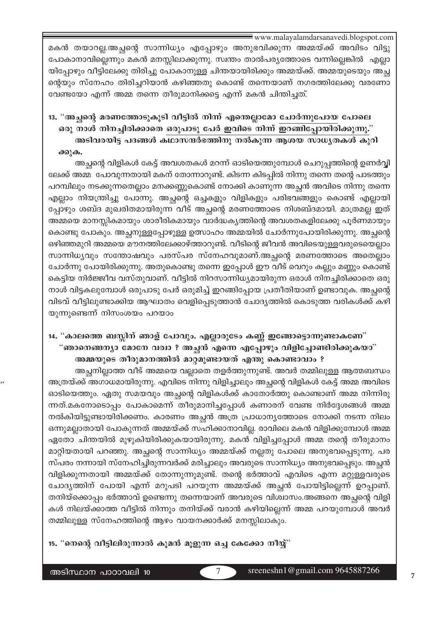മകൻ തയാറല്ല.അച്ഛന്റെ സാന്നിധ്യം എപ്പോഴും അനുഭവിക്കുന്ന അമ്മയ്ക്ക് അവിടം വിട്ടു പോകാനാവില്ലെന്നും മകൻ മനസ്സിലാക്കുന്നു. സ്വന്തം താൽപര്യത്തോടെ വന്നില്ലെങ്കിൽ എല്ലാ യിപ്പോഴും വീട്ടിലേക്കു തിരിച്ചു പോകാനുള്ള ചിന്തയായിരിക്കും അമ്മയ്ക്ക്. അമ്മയുടെയും അച്ഛ ന്റെയും സ്നേഹം തിരിച്ചറിയാൻ കഴിഞ്ഞതു കൊണ്ട് തന്നെയാണ് നഗരത്തിലേക്കു വരണോ വേണ്ടയോ എന്ന് അമ്മ തന്നെ തീരുമാനിക്കട്ടെ എന്ന് മകൻ ചിന്തിച്ചത്.

13. "അച്ചന്റെ മരണത്തോടുകൂടി വീട്ടിൽ നിന്ന് എന്തെല്ലാമോ ചോർന്നുപോയ പോലെ ഒരു നാൾ നിനച്ചിരിക്കാതെ ഒരുപാടു പേർ ഇവിടെ നിന്ന് ഇറങ്ങിപ്പോയിരിക്കുന്നു." അടിവരയിട്ട പദങ്ങൾ കഥാസന്ദർഭത്തിനു നൽകുന്ന ആശയ സാധ്യതകൾ കുറി ക്കുക.

അച്ചന്റെ വിളികൾ കേട്ട് അവശതകൾ മറന്ന് ഓടിയെത്തുമ്പോൾ ചെറുപ്പത്തിന്റെ ഉണർവ്വി ലേക്ക് അമ്മ പോവുന്നതായി മകന് തോന്നാറുണ്ട്. കിടന്ന കിടപ്പിൽ നിന്നു തന്നെ തന്റെ പാടത്തും പറമ്പിലും നടക്കുന്നതെല്ലാം മനക്കണ്ണുകൊണ്ട് നോക്കി കാണുന്ന അച്ഛൻ അവിടെ നിന്നു തന്നെ എല്ലാം നിയന്ത്രിച്ചു പോന്നു. അച്ഛന്റെ ഒച്ചകളും വിളികളും പരിഭവങ്ങളും കൊണ്ട് എല്ലായി പ്പോഴും ശബ്ദ മുഖരിതമായിരുന്ന വീട് അച്ഛന്റെ മരണത്തോടെ നിശബ്ദമായി. മാത്രമല്ല ഇത് അമ്മയെ മാനസ്സികമായും ശാരീരികമായും വാർദ്ധകൃത്തിന്റെ അവശതകളിലേക്കു പൂർണമായും കൊണ്ടു പോകും. അച്ഛനുള്ളപ്പോഴുള്ള ഉത്സാഹം അമ്മയിൽ ചോർന്നുപോയിരിക്കുന്നു. അച്ഛന്റെ ഒഴിഞ്ഞമുറി അമ്മയെ മൗനത്തിലേക്കാഴ്ത്താറുണ്ട്. വീടിന്റെ ജീവൻ അവിടെയുള്ളവരുടെയെല്ലാം സാന്നിധ്യവും സന്തോഷവും പരസ്പര സ്നേഹവുമാണ്.അച്ഛന്റെ മരണത്തോടെ അതെല്ലാം ചോർന്നു പോയിരിക്കുന്നു. അതുകൊണ്ടു തന്നെ ഇപ്പോൾ ഈ വീട് വെറും കല്ലും മണ്ണും കൊണ്ട് കെട്ടിയ നിർജ്ജീവ വസ്തുവാണ്. വീട്ടിൽ നിറസാന്നിധ്യമായിരുന്ന ഒരാൾ നിനച്ചിരിക്കാതെ ഒരു നാൾ വിട്ടകലുമ്പോൾ ഒരുപാടു പേർ ഒരുമിച്ച് ഇറങ്ങിപ്പോയ പ്രതീതിയാണ് ഉണ്ടാവുക. അച്ഛന്റെ വിടവ് വീട്ടിലുണ്ടാക്കിയ ആഘാതം വെളിപ്പെടുത്താൻ ചോദ്യത്തിൽ കൊടുത്ത വരികൾക്ക് കഴി യുന്നുണ്ടെന്ന് നിസംശയം പറയാം

## 14. "കാലത്തെ ബസ്സിന് ഞാള് പോവും. എല്ലാരുടേം കണ്ണ് ഇങ്ങോട്ടൊന്നുണ്ടാകണേ" "ഞാനെങ്ങന്യാ മോനേ വര്വാ ? അച്ഛൻ എന്നെ എപ്പോഴും വിളിച്ചോണ്ടിരിക്കുകയാ" അമ്മയുടെ തീരുമാനത്തിൽ മാറ്റമുണ്ടായത് എന്തു കൊണ്ടാവാം ?

അച്ഛനില്ലാത്ത വീട് അമ്മയെ വല്ലാതെ തളർത്തുന്നുണ്ട്. അവർ തമ്മിലുള്ള ആത്മബന്ധം അത്രയ്ക്ക് അഗാധമായിരുന്നു. എവിടെ നിന്നു വിളിച്ചാലും അച്ഛന്റെ വിളികൾ കേട്ട് അമ്മ അവിടെ ഓടിയെത്തും. ഏതു സമയവും അച്ചന്റെ വിളികൾക്ക് കാതോർത്തു കൊണ്ടാണ് അമ്മ നിന്നിരു ന്നത്.മകനോടൊപ്പം പോകാമെന്ന് തീരുമാനിച്ചപ്പോൾ കണാരന് വേണ്ട നിർദ്ദേശങ്ങൾ അമ്മ നൽകിയിട്ടുണ്ടായിരിക്കണം. കാരണം അച്ഛൻ അത്ര പ്രാധാന്യത്തോടെ നോക്കി നടന്ന നിലം ഒന്നുമല്ലാതായി പോകുന്നത് അമ്മയ്ക്ക് സഹിക്കാനാവില്ല. രാവിലെ മകൻ വിളിക്കുമ്പോൾ അമ്മ ഏതോ ചിന്തയിൽ മുഴുകിയിരിക്കുകയായിരുന്നു. മകൻ വിളിച്ചപ്പോൾ അമ്മ തന്റെ തീരുമാനം മാറ്റിയതായി പറഞ്ഞു. അച്ഛന്റെ സാന്നിധ്യം അമ്മയ്ക്ക് നല്ലതു പോലെ അനുഭവപ്പെടുന്നു. പര സ്പരം നന്നായി സ്നേഹിച്ചിരുന്നവർക്ക് മരിച്ചാലും അവരുടെ സാന്നിധ്യം അനുഭവപ്പെടും. അച്ചൻ വിളിക്കുന്നതായി അമ്മയ്ക്ക് തോന്നുന്നുമുണ്ട്. തന്റെ ഭർത്താവ് എവിടെ എന്ന മറ്റുള്ളവരുടെ ചോദ്യത്തിന് പോയി എന്ന് മറുപടി പറയുന്ന അമ്മയ്ക്ക് അച്ഛൻ പോയിട്ടില്ലെന്ന് ഉറപ്പാണ്. തനിയ്ക്കൊപ്പം ഭർത്താവ് ഉണ്ടെന്നു തന്നെയാണ് അവരുടെ വിശ്വാസം.അങ്ങനെ അച്ഛന്റെ വിളി കൾ നിലയ്ക്കാത്ത വീട്ടിൽ നിന്നും തനിയ്ക്ക് വരാൻ കഴിയില്ലെന്ന് അമ്മ പറയുമ്പോൾ അവർ തമ്മിലുള്ള സ്നേഹത്തിന്റെ ആഴം വായനക്കാർക്ക് മനസ്സിലാകും.

7

15. "നെന്റെ വീട്ടിലിരുന്നാൽ കൂമൻ മൂളുന്ന ഒച്ച കേക്കോ നീയ്യ്"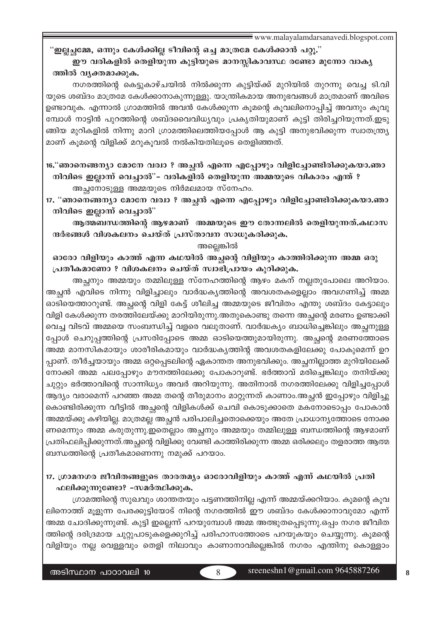#### "ഇല്ലച്ഛമ്മേ, ഒന്നും കേൾക്കില്ല ടീവിന്റെ ഒച്ച മാത്രമേ കേൾക്കാൻ പറ്റൂ."

### ഈ വരികളിൽ തെളിയുന്ന കുട്ടിയുടെ മാനസ്സികാവസ്ഥ രണ്ടോ മൂന്നോ വാകൃ ത്തിൽ വൃക്തമാക്കുക.

നഗരത്തിന്റെ കെട്ടുകാഴ്ചയിൽ നിൽക്കുന്ന കുട്ടിയ്ക്ക് മുറിയിൽ തുറന്നു വെച്ച ടി.വി യുടെ ശബ്ദം മാത്രമേ കേൾക്കാനാകുന്നുള്ളു. യാന്ത്രികമായ അനുഭവങ്ങൾ മാത്രമാണ് അവിടെ ഉണ്ടാവുക. എന്നാൽ ഗ്രാമത്തിൽ അവൻ കേൾക്കുന്ന കൂമന്റെ കൂവലിനൊപ്പിച്ച് അവനും കൂവു മ്പോൾ നാട്ടിൻ പുറത്തിന്റെ ശബ്ദവൈവിധ്യവും പ്രകൃതിയുമാണ് കുട്ടി തിരിച്ചറിയുന്നത്.ഇടു ങ്ങിയ മുറികളിൽ നിന്നു മാറി ഗ്രാമത്തിലെത്തിയപ്പോൾ ആ കുട്ടി അനുഭവിക്കുന്ന സ്വാതന്ത്ര്യ മാണ് കുമന്റെ വിളിക്ക് മറുകുവൽ നൽകിയതിലുടെ തെളിഞ്ഞത്.

16."ഞാനെങ്ങന്യാ മോനേ വര്വാ ? അച്ഛൻ എന്നെ എപ്പോഴും വിളിച്ചോണ്ടിരിക്കുകയാ.ഞാ നിവിടെ ഇല്ലാന്ന് വെച്ചാൽ"– വരികളിൽ തെളിയുന്ന അമ്മയുടെ വികാരം എന്ത് ? അച്ഛനോടുള്ള അമ്മയുടെ നിർമലമായ സ്നേഹം.

17. "ഞാനെങ്ങന്യാ മോനേ വര്വാ ? അച്ചൻ എന്നെ എപ്പോഴും വിളിച്ചോണ്ടിരിക്കുകയാ.ഞാ നിവിടെ ഇല്ലാന്ന് വെച്ചാൽ"

ആത്മബന്ധത്തിന്റെ ആഴമാണ് അമ്മയുടെ ഈ തോന്നലിൽ തെളിയുന്നത്.കഥാസ ന്ദർഭങ്ങൾ വിശകലനം ചെയ്ത് പ്രസ്താവന സാധൂകരിക്കുക.

#### അല്ലെങ്കിൽ

#### ഓരോ വിളിയും കാത്ത് എന്ന കഥയിൽ അച്ചന്റെ വിളിയും കാത്തിരിക്കുന്ന അമ്മ ഒരു പ്രതീകമാണോ ? വിശകലനം ചെയ്ത് സ്വാഭിപ്രായം കുറിക്കുക.

അച്ഛനും അമ്മയും തമ്മിലുള്ള സ്നേഹത്തിന്റെ ആഴം മകന് നല്ലതുപോലെ അറിയാം. അച്ഛൻ എവിടെ നിന്നു വിളിച്ചാലും വാർദ്ധകൃത്തിന്റെ അവശതകളെല്ലാം അവഗണിച്ച് അമ്മ ഓടിയെത്താറുണ്ട്. അച്ഛന്റെ വിളി കേട്ട് ശീലിച്ച അമ്മയുടെ ജീവിതം എന്തു ശബ്ദം കേട്ടാലും വിളി കേൾക്കുന്ന തരത്തിലേയ്ക്കു മാറിയിരുന്നു.അതുകൊണ്ടു തന്നെ അച്ഛന്റെ മരണം ഉണ്ടാക്കി വെച്ച വിടവ് അമ്മയെ സംബന്ധിച്ച് വളരെ വലുതാണ്. വാർദ്ധക്യം ബാധിച്ചെങ്കിലും അച്ഛനുള്ള പ്പോൾ ചെറുപ്പത്തിന്റെ പ്രസരിപ്പോടെ അമ്മ ഓടിയെത്തുമായിരുന്നു. അച്ഛന്റെ മരണത്തോടെ അമ്മ മാനസികമായും ശാരീരികമായും വാർദ്ധകൃത്തിന്റ അവശതകളിലേക്കു പോകുമെന്ന് ഉറ പ്പാണ്. തീർച്ചയായും അമ്മ ഒറ്റപ്പെടലിന്റെ ഏകാന്തത അനുഭവിക്കും. അച്ഛനില്ലാത്ത മുറിയിലേക്ക് നോക്കി അമ്മ പലപ്പോഴും മൗനത്തിലേക്കു പോകാറുണ്ട്. ഭർത്താവ് മരിച്ചെങ്കിലും തനിയ്ക്കു ചുറ്റും ഭർത്താവിന്റെ സാന്നിധ്യം അവർ അറിയുന്നു. അതിനാൽ നഗരത്തിലേക്കു വിളിച്ചപ്പോൾ ആദ്യം വരാമെന്ന് പറഞ്ഞ അമ്മ തന്റെ തീരുമാനം മാറ്റുന്നത് കാണാം.അച്ഛൻ ഇപ്പോഴും വിളിച്ചു കൊണ്ടിരിക്കുന്ന വീട്ടിൽ അച്ഛന്റെ വിളികൾക്ക് ചെവി കൊടുക്കാതെ മകനോടൊപ്പം പോകാൻ അമ്മയ്ക്കു കഴിയില്ല. മാത്രമല്ല അച്ഛൻ പരിപാലിച്ചതൊക്കെയും അതേ പ്രാധാന്യത്തോടെ നോക്ക ണമെന്നും അമ്മ കരുതുന്നു.ഇതെല്ലാം അച്ഛനും അമ്മയും തമ്മിലുള്ള ബന്ധത്തിന്റെ ആഴമാണ് പ്രതിഫലിപ്പിക്കുന്നത്.അച്ഛന്റെ വിളിക്കു വേണ്ടി കാത്തിരിക്കുന്ന അമ്മ ഒരിക്കലും തളരാത്ത ആത്മ ബന്ധത്തിന്റെ പ്രതീകമാണെന്നു നമുക്ക് പറയാം.

## 17. ഗ്രാമനഗര ജീവിതങ്ങളുടെ താരതമ്യം ഓരോവിളിയും കാത്ത് എന്ന് കഥയിൽ പ്രതി ഫലിക്കുന്നുണ്ടോ? -സമർത്ഥിക്കുക.

ഗ്രാമത്തിന്റെ സുഖവും ശാന്തതയും പട്ടണത്തിനില്ല എന്ന് അമ്മയ്ക്കറിയാം. കൂമന്റെ കൂവ ലിനൊത്ത് മൂളുന്ന പേരക്കുട്ടിയോട് നിന്റെ നഗരത്തിൽ ഈ ശബ്ദം കേൾക്കാനാവുമോ എന്ന് അമ്മ ചോദിക്കുന്നുണ്ട്. കുട്ടി ഇല്ലെന്ന് പറയുമ്പോൾ അമ്മ അത്ഭുതപ്പെടുന്നു.ഒപ്പം നഗര ജീവിത ത്തിന്റെ ദരിദ്രമായ ചുറ്റുപാടുകളെക്കുറിച്ച് പരിഹാസത്തോടെ പറയുകയും ചെയ്യുന്നു. കൂമന്റെ വിളിയും നല്ല വെള്ളവും തെളി നിലാവും കാണാനാവില്ലെങ്കിൽ നഗരം എന്തിനു കൊള്ളാം

sreeneshn $1@$ gmail.com 9645887266